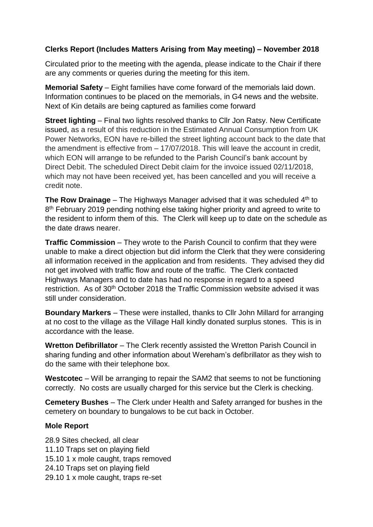# **Clerks Report (Includes Matters Arising from May meeting) – November 2018**

Circulated prior to the meeting with the agenda, please indicate to the Chair if there are any comments or queries during the meeting for this item.

**Memorial Safety** – Eight families have come forward of the memorials laid down. Information continues to be placed on the memorials, in G4 news and the website. Next of Kin details are being captured as families come forward

**Street lighting** – Final two lights resolved thanks to Cllr Jon Ratsy. New Certificate issued, as a result of this reduction in the Estimated Annual Consumption from UK Power Networks, EON have re-billed the street lighting account back to the date that the amendment is effective from – 17/07/2018. This will leave the account in credit, which EON will arrange to be refunded to the Parish Council's bank account by Direct Debit. The scheduled Direct Debit claim for the invoice issued 02/11/2018, which may not have been received yet, has been cancelled and you will receive a credit note.

**The Row Drainage** – The Highways Manager advised that it was scheduled 4<sup>th</sup> to 8<sup>th</sup> February 2019 pending nothing else taking higher priority and agreed to write to the resident to inform them of this. The Clerk will keep up to date on the schedule as the date draws nearer.

**Traffic Commission** – They wrote to the Parish Council to confirm that they were unable to make a direct objection but did inform the Clerk that they were considering all information received in the application and from residents. They advised they did not get involved with traffic flow and route of the traffic. The Clerk contacted Highways Managers and to date has had no response in regard to a speed restriction. As of 30th October 2018 the Traffic Commission website advised it was still under consideration.

**Boundary Markers** – These were installed, thanks to Cllr John Millard for arranging at no cost to the village as the Village Hall kindly donated surplus stones. This is in accordance with the lease.

**Wretton Defibrillator** – The Clerk recently assisted the Wretton Parish Council in sharing funding and other information about Wereham's defibrillator as they wish to do the same with their telephone box.

**Westcotec** – Will be arranging to repair the SAM2 that seems to not be functioning correctly. No costs are usually charged for this service but the Clerk is checking.

**Cemetery Bushes** – The Clerk under Health and Safety arranged for bushes in the cemetery on boundary to bungalows to be cut back in October.

## **Mole Report**

28.9 Sites checked, all clear 11.10 Traps set on playing field 15.10 1 x mole caught, traps removed 24.10 Traps set on playing field 29.10 1 x mole caught, traps re-set